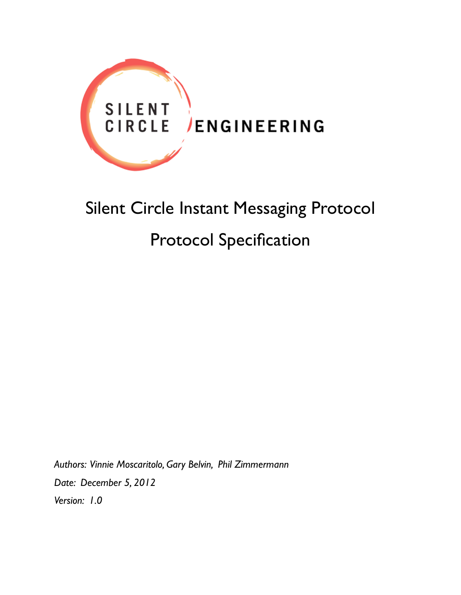

# Silent Circle Instant Messaging Protocol Protocol Specification

*Authors: Vinnie Moscaritolo, Gary Belvin, Phil Zimmermann Date: December 5, 2012 Version: 1.0*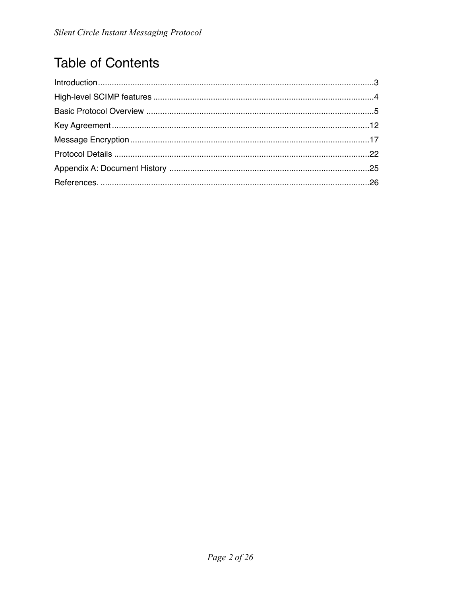# **Table of Contents**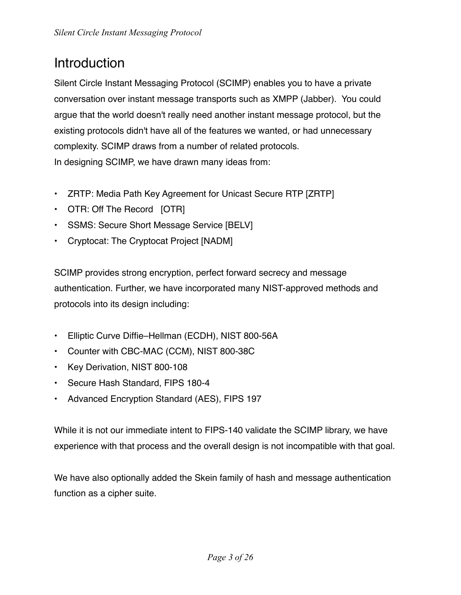# <span id="page-2-0"></span>Introduction

Silent Circle Instant Messaging Protocol (SCIMP) enables you to have a private conversation over instant message transports such as XMPP (Jabber). You could argue that the world doesn't really need another instant message protocol, but the existing protocols didn't have all of the features we wanted, or had unnecessary complexity. SCIMP draws from a number of related protocols. In designing SCIMP, we have drawn many ideas from:

- ZRTP: Media Path Key Agreement for Unicast Secure RTP [ZRTP]
- OTR: Off The Record [OTR]
- SSMS: Secure Short Message Service [BELV]
- Cryptocat: The Cryptocat Project [NADM]

SCIMP provides strong encryption, perfect forward secrecy and message authentication. Further, we have incorporated many NIST-approved methods and protocols into its design including:

- Elliptic Curve Diffie–Hellman (ECDH), NIST 800-56A
- Counter with CBC-MAC (CCM), NIST 800-38C
- Key Derivation, NIST 800-108
- Secure Hash Standard, FIPS 180-4
- Advanced Encryption Standard (AES), FIPS 197

While it is not our immediate intent to FIPS-140 validate the SCIMP library, we have experience with that process and the overall design is not incompatible with that goal.

We have also optionally added the Skein family of hash and message authentication function as a cipher suite.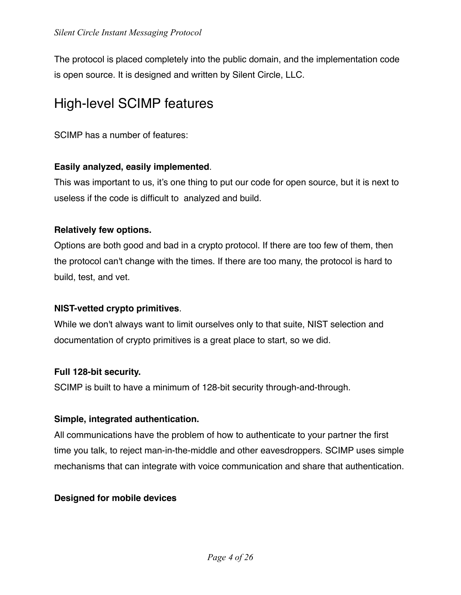The protocol is placed completely into the public domain, and the implementation code is open source. It is designed and written by Silent Circle, LLC.

# <span id="page-3-0"></span>High-level SCIMP features

SCIMP has a number of features:

#### **Easily analyzed, easily implemented**.

This was important to us, it's one thing to put our code for open source, but it is next to useless if the code is difficult to analyzed and build.

#### **Relatively few options.**

Options are both good and bad in a crypto protocol. If there are too few of them, then the protocol can't change with the times. If there are too many, the protocol is hard to build, test, and vet.

#### **NIST-vetted crypto primitives**.

While we don't always want to limit ourselves only to that suite, NIST selection and documentation of crypto primitives is a great place to start, so we did.

#### **Full 128-bit security.**

SCIMP is built to have a minimum of 128-bit security through-and-through.

#### **Simple, integrated authentication.**

All communications have the problem of how to authenticate to your partner the first time you talk, to reject man-in-the-middle and other eavesdroppers. SCIMP uses simple mechanisms that can integrate with voice communication and share that authentication.

#### **Designed for mobile devices**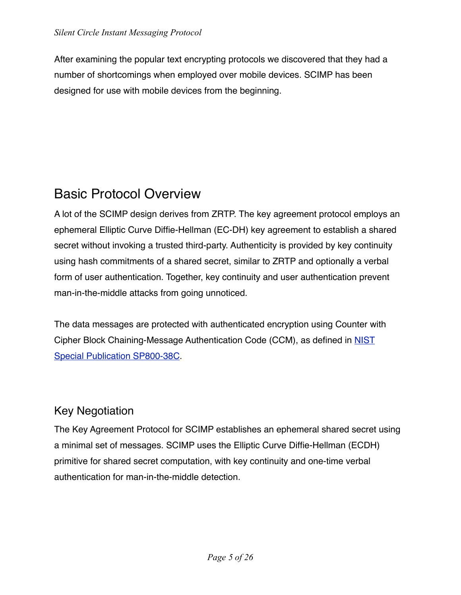After examining the popular text encrypting protocols we discovered that they had a number of shortcomings when employed over mobile devices. SCIMP has been designed for use with mobile devices from the beginning.

# <span id="page-4-0"></span>Basic Protocol Overview

A lot of the SCIMP design derives from ZRTP. The key agreement protocol employs an ephemeral Elliptic Curve Diffie-Hellman (EC-DH) key agreement to establish a shared secret without invoking a trusted third-party. Authenticity is provided by key continuity using hash commitments of a shared secret, similar to ZRTP and optionally a verbal form of user authentication. Together, key continuity and user authentication prevent man-in-the-middle attacks from going unnoticed.

The data messages are protected with authenticated encryption using Counter with Cipher Block Chaining-Message Authentication Code (CCM), as defined in [NIST](http://csrc.nist.gov/publications/nistpubs/800-38C/SP800-38C_updated-July20_2007.pdf)  [Special Publication SP800-38C.](http://csrc.nist.gov/publications/nistpubs/800-38C/SP800-38C_updated-July20_2007.pdf)

### Key Negotiation

The Key Agreement Protocol for SCIMP establishes an ephemeral shared secret using a minimal set of messages. SCIMP uses the Elliptic Curve Diffie-Hellman (ECDH) primitive for shared secret computation, with key continuity and one-time verbal authentication for man-in-the-middle detection.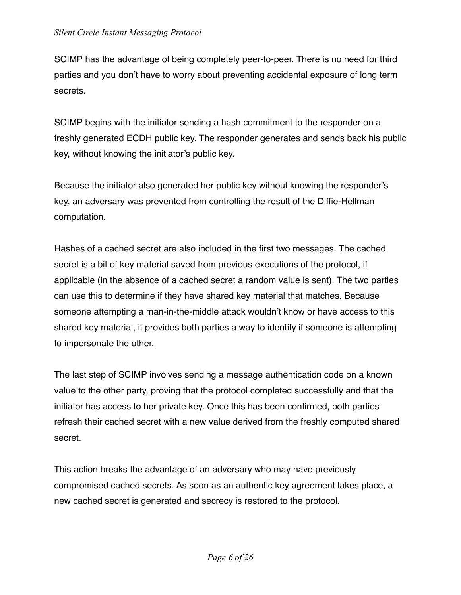SCIMP has the advantage of being completely peer-to-peer. There is no need for third parties and you don't have to worry about preventing accidental exposure of long term secrets.

SCIMP begins with the initiator sending a hash commitment to the responder on a freshly generated ECDH public key. The responder generates and sends back his public key, without knowing the initiator's public key.

Because the initiator also generated her public key without knowing the responder's key, an adversary was prevented from controlling the result of the Diffie-Hellman computation.

Hashes of a cached secret are also included in the first two messages. The cached secret is a bit of key material saved from previous executions of the protocol, if applicable (in the absence of a cached secret a random value is sent). The two parties can use this to determine if they have shared key material that matches. Because someone attempting a man-in-the-middle attack wouldn't know or have access to this shared key material, it provides both parties a way to identify if someone is attempting to impersonate the other.

The last step of SCIMP involves sending a message authentication code on a known value to the other party, proving that the protocol completed successfully and that the initiator has access to her private key. Once this has been confirmed, both parties refresh their cached secret with a new value derived from the freshly computed shared secret.

This action breaks the advantage of an adversary who may have previously compromised cached secrets. As soon as an authentic key agreement takes place, a new cached secret is generated and secrecy is restored to the protocol.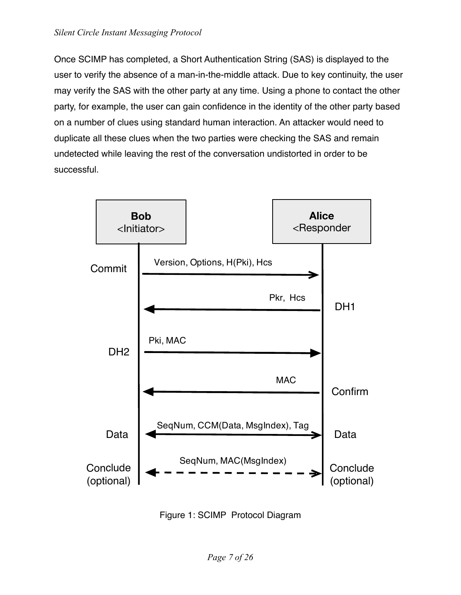Once SCIMP has completed, a Short Authentication String (SAS) is displayed to the user to verify the absence of a man-in-the-middle attack. Due to key continuity, the user may verify the SAS with the other party at any time. Using a phone to contact the other party, for example, the user can gain confidence in the identity of the other party based on a number of clues using standard human interaction. An attacker would need to duplicate all these clues when the two parties were checking the SAS and remain undetected while leaving the rest of the conversation undistorted in order to be successful.



Figure 1: SCIMP Protocol Diagram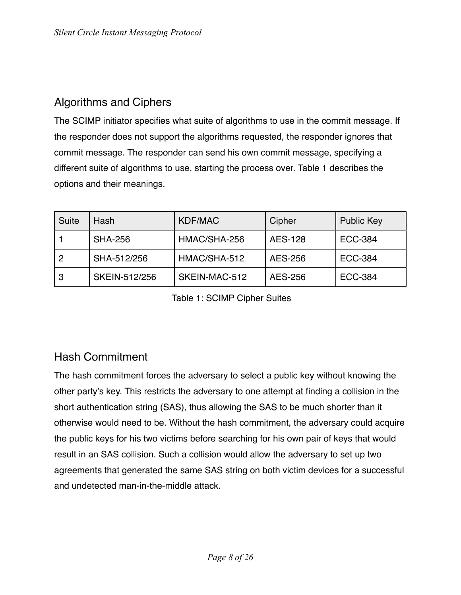# Algorithms and Ciphers

The SCIMP initiator specifies what suite of algorithms to use in the commit message. If the responder does not support the algorithms requested, the responder ignores that commit message. The responder can send his own commit message, specifying a different suite of algorithms to use, starting the process over. Table 1 describes the options and their meanings.

| Suite | Hash           | <b>KDF/MAC</b> | Cipher         | <b>Public Key</b> |
|-------|----------------|----------------|----------------|-------------------|
|       | <b>SHA-256</b> | HMAC/SHA-256   | <b>AES-128</b> | <b>ECC-384</b>    |
| -2    | SHA-512/256    | HMAC/SHA-512   | AES-256        | <b>ECC-384</b>    |
| . ვ   | SKEIN-512/256  | SKEIN-MAC-512  | AES-256        | <b>ECC-384</b>    |

Table 1: SCIMP Cipher Suites

### Hash Commitment

The hash commitment forces the adversary to select a public key without knowing the other party's key. This restricts the adversary to one attempt at finding a collision in the short authentication string (SAS), thus allowing the SAS to be much shorter than it otherwise would need to be. Without the hash commitment, the adversary could acquire the public keys for his two victims before searching for his own pair of keys that would result in an SAS collision. Such a collision would allow the adversary to set up two agreements that generated the same SAS string on both victim devices for a successful and undetected man-in-the-middle attack.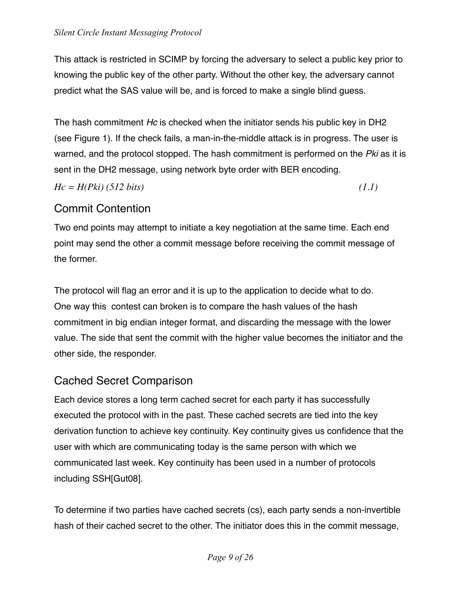This attack is restricted in SCIMP by forcing the adversary to select a public key prior to knowing the public key of the other party. Without the other key, the adversary cannot predict what the SAS value will be, and is forced to make a single blind guess.

The hash commitment *Hc* is checked when the initiator sends his public key in DH2 (see Figure 1). If the check fails, a man-in-the-middle attack is in progress. The user is warned, and the protocol stopped. The hash commitment is performed on the *Pki* as it is sent in the DH2 message, using network byte order with BER encoding.

*Hc = H(Pki) (512 bits) (1.1)*

# Commit Contention

Two end points may attempt to initiate a key negotiation at the same time. Each end point may send the other a commit message before receiving the commit message of the former.

The protocol will flag an error and it is up to the application to decide what to do. One way this contest can broken is to compare the hash values of the hash commitment in big endian integer format, and discarding the message with the lower value. The side that sent the commit with the higher value becomes the initiator and the other side, the responder.

# Cached Secret Comparison

Each device stores a long term cached secret for each party it has successfully executed the protocol with in the past. These cached secrets are tied into the key derivation function to achieve key continuity. Key continuity gives us confidence that the user with which are communicating today is the same person with which we communicated last week. Key continuity has been used in a number of protocols including SSH[Gut08].

To determine if two parties have cached secrets (cs), each party sends a non-invertible hash of their cached secret to the other. The initiator does this in the commit message,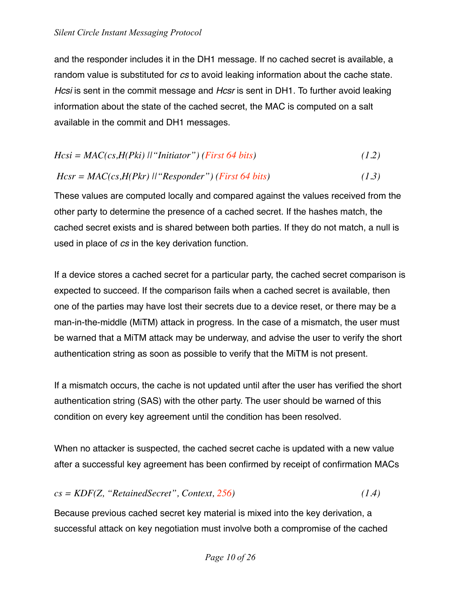and the responder includes it in the DH1 message. If no cached secret is available, a random value is substituted for *cs* to avoid leaking information about the cache state. *Hcsi* is sent in the commit message and *Hcsr* is sent in DH1. To further avoid leaking information about the state of the cached secret, the MAC is computed on a salt available in the commit and DH1 messages.

$$
Hcsi = MAC(cs, H(Pki) || "Initiator") (First 64 bits)
$$
\n
$$
(1.2)
$$

#### *Hcsr = MAC(cs,H(Pkr) ||"Responder") (First 64 bits) (1.3)*

These values are computed locally and compared against the values received from the other party to determine the presence of a cached secret. If the hashes match, the cached secret exists and is shared between both parties. If they do not match, a null is used in place of *cs* in the key derivation function.

If a device stores a cached secret for a particular party, the cached secret comparison is expected to succeed. If the comparison fails when a cached secret is available, then one of the parties may have lost their secrets due to a device reset, or there may be a man-in-the-middle (MiTM) attack in progress. In the case of a mismatch, the user must be warned that a MiTM attack may be underway, and advise the user to verify the short authentication string as soon as possible to verify that the MiTM is not present.

If a mismatch occurs, the cache is not updated until after the user has verified the short authentication string (SAS) with the other party. The user should be warned of this condition on every key agreement until the condition has been resolved.

When no attacker is suspected, the cached secret cache is updated with a new value after a successful key agreement has been confirmed by receipt of confirmation MACs

#### *cs = KDF(Z, "RetainedSecret", Context, 256) (1.4)*

Because previous cached secret key material is mixed into the key derivation, a successful attack on key negotiation must involve both a compromise of the cached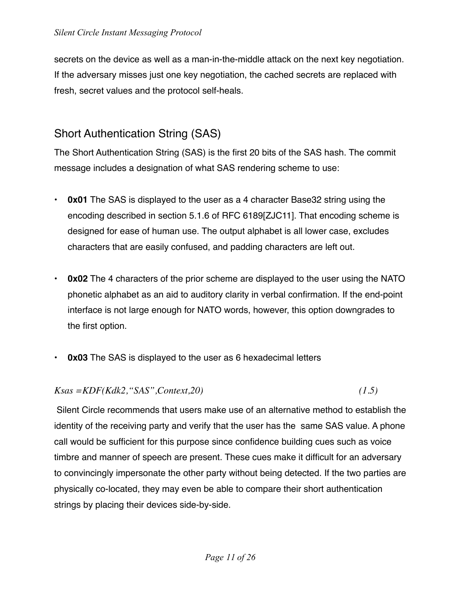secrets on the device as well as a man-in-the-middle attack on the next key negotiation. If the adversary misses just one key negotiation, the cached secrets are replaced with fresh, secret values and the protocol self-heals.

## Short Authentication String (SAS)

The Short Authentication String (SAS) is the first 20 bits of the SAS hash. The commit message includes a designation of what SAS rendering scheme to use:

- **0x01** The SAS is displayed to the user as a 4 character Base32 string using the encoding described in section 5.1.6 of RFC 6189[ZJC11]. That encoding scheme is designed for ease of human use. The output alphabet is all lower case, excludes characters that are easily confused, and padding characters are left out.
- **0x02** The 4 characters of the prior scheme are displayed to the user using the NATO phonetic alphabet as an aid to auditory clarity in verbal confirmation. If the end-point interface is not large enough for NATO words, however, this option downgrades to the first option.
- **0x03** The SAS is displayed to the user as 6 hexadecimal letters

*Ksas =KDF(Kdk2,"SAS",Context,20) (1.5)* 

Silent Circle recommends that users make use of an alternative method to establish the identity of the receiving party and verify that the user has the same SAS value. A phone call would be sufficient for this purpose since confidence building cues such as voice timbre and manner of speech are present. These cues make it difficult for an adversary to convincingly impersonate the other party without being detected. If the two parties are physically co-located, they may even be able to compare their short authentication strings by placing their devices side-by-side.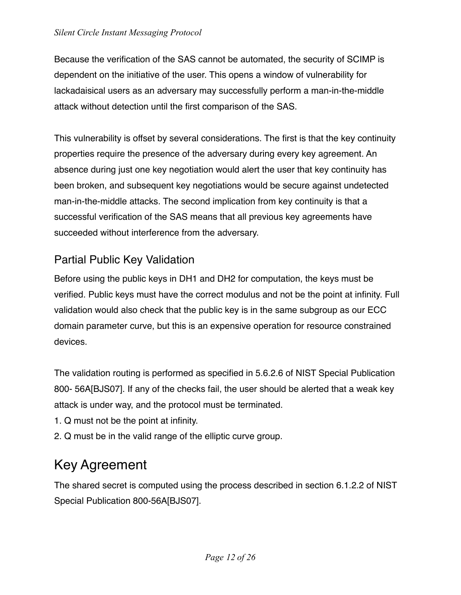Because the verification of the SAS cannot be automated, the security of SCIMP is dependent on the initiative of the user. This opens a window of vulnerability for lackadaisical users as an adversary may successfully perform a man-in-the-middle attack without detection until the first comparison of the SAS.

This vulnerability is offset by several considerations. The first is that the key continuity properties require the presence of the adversary during every key agreement. An absence during just one key negotiation would alert the user that key continuity has been broken, and subsequent key negotiations would be secure against undetected man-in-the-middle attacks. The second implication from key continuity is that a successful verification of the SAS means that all previous key agreements have succeeded without interference from the adversary.

### Partial Public Key Validation

Before using the public keys in DH1 and DH2 for computation, the keys must be verified. Public keys must have the correct modulus and not be the point at infinity. Full validation would also check that the public key is in the same subgroup as our ECC domain parameter curve, but this is an expensive operation for resource constrained devices.

The validation routing is performed as specified in 5.6.2.6 of NIST Special Publication 800- 56A[BJS07]. If any of the checks fail, the user should be alerted that a weak key attack is under way, and the protocol must be terminated.

- 1. Q must not be the point at infinity.
- 2. Q must be in the valid range of the elliptic curve group.

# <span id="page-11-0"></span>Key Agreement

The shared secret is computed using the process described in section 6.1.2.2 of NIST Special Publication 800-56A[BJS07].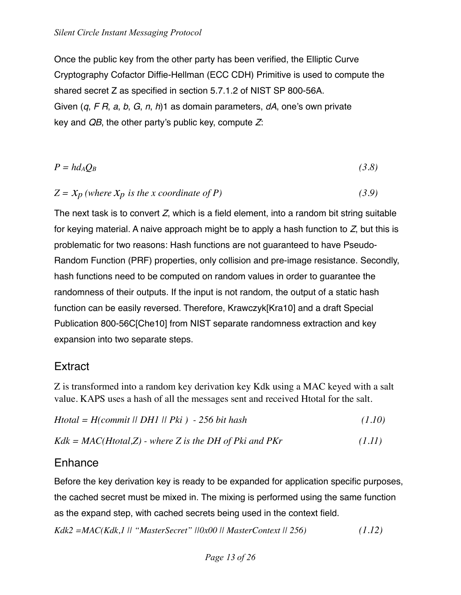Once the public key from the other party has been verified, the Elliptic Curve Cryptography Cofactor Diffie-Hellman (ECC CDH) Primitive is used to compute the shared secret Z as specified in section 5.7.1.2 of NIST SP 800-56A. Given (*q*, *F R*, *a*, *b*, *G*, *n*, *h*)1 as domain parameters, *dA*, one's own private key and *QB*, the other party's public key, compute *Z*:

$$
P = hd_AQ_B \tag{3.8}
$$

$$
Z = X_p \text{ (where } X_p \text{ is the x coordinate of P)} \tag{3.9}
$$

The next task is to convert *Z*, which is a field element, into a random bit string suitable for keying material. A naive approach might be to apply a hash function to *Z*, but this is problematic for two reasons: Hash functions are not guaranteed to have Pseudo-Random Function (PRF) properties, only collision and pre-image resistance. Secondly, hash functions need to be computed on random values in order to guarantee the randomness of their outputs. If the input is not random, the output of a static hash function can be easily reversed. Therefore, Krawczyk[Kra10] and a draft Special Publication 800-56C[Che10] from NIST separate randomness extraction and key expansion into two separate steps.

### **Extract**

Z is transformed into a random key derivation key Kdk using a MAC keyed with a salt value. KAPS uses a hash of all the messages sent and received Htotal for the salt.

| $H$ total = $H$ (commit    DH1    Pki ) - 256 bit hash | (1.10) |
|--------------------------------------------------------|--------|
|                                                        |        |

```
Kdk = MAC(Htotal,Z) - where Z is the DH of Pki and PKr (1.11)
```
### Enhance

Before the key derivation key is ready to be expanded for application specific purposes, the cached secret must be mixed in. The mixing is performed using the same function as the expand step, with cached secrets being used in the context field.

*Kdk2 =MAC(Kdk,1 || "MasterSecret" ||0x00 || MasterContext || 256) (1.12)*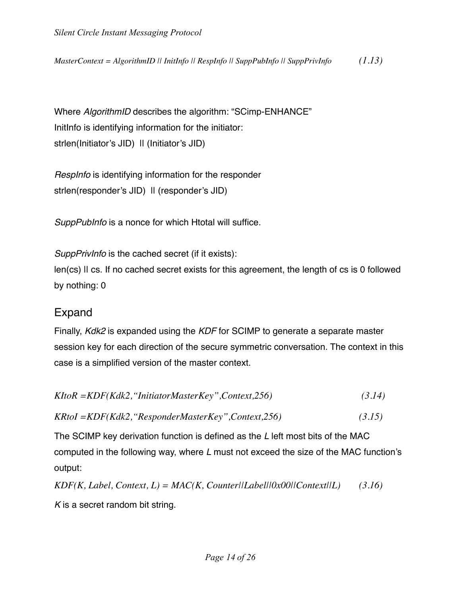*MasterContext = AlgorithmID || InitInfo || RespInfo || SuppPubInfo || SuppPrivInfo (1.13)*

Where *AlgorithmID* describes the algorithm: "SCimp-ENHANCE" InitInfo is identifying information for the initiator: strlen(Initiator's JID) II (Initiator's JID)

*RespInfo* is identifying information for the responder strlen(responder's JID) II (responder's JID)

*SuppPubInfo* is a nonce for which Htotal will suffice.

*SuppPrivInfo* is the cached secret (if it exists): len(cs) || cs. If no cached secret exists for this agreement, the length of cs is 0 followed by nothing: 0

### Expand

Finally, *Kdk2* is expanded using the *KDF* for SCIMP to generate a separate master session key for each direction of the secure symmetric conversation. The context in this case is a simplified version of the master context.

| $K$ ItoR = $KDF(Kdk2, "InitiatorMasterKey", Context, 256)$                              | (3.14) |  |
|-----------------------------------------------------------------------------------------|--------|--|
| KRtoI = KDF(Kdk2, "ResponderMasterKey", Context, 256)                                   | (3.15) |  |
| The SCIMP key derivation function is defined as the L left most bits of the MAC         |        |  |
| computed in the following way, where $L$ must not exceed the size of the MAC function's |        |  |
| output:                                                                                 |        |  |

*KDF(K, Label, Context, L) = MAC(K, Counter||Label||0x00||Context||L) (3.16) K* is a secret random bit string.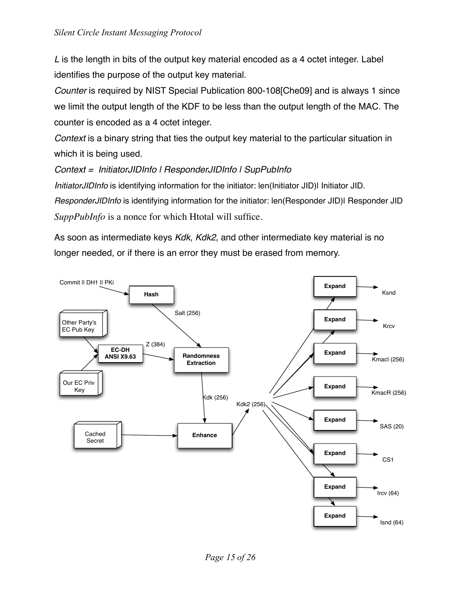*L* is the length in bits of the output key material encoded as a 4 octet integer. Label identifies the purpose of the output key material.

*Counter* is required by NIST Special Publication 800-108[Che09] and is always 1 since we limit the output length of the KDF to be less than the output length of the MAC. The counter is encoded as a 4 octet integer.

*Context* is a binary string that ties the output key material to the particular situation in which it is being used.

#### *Context = InitiatorJIDInfo | ResponderJIDInfo | SupPubInfo*

*InitiatorJIDInfo* is identifying information for the initiator: len(Initiator JID)| Initiator JID. *ResponderJIDInfo* is identifying information for the initiator: len(Responder JID)| Responder JID *SuppPubInfo* is a nonce for which Htotal will suffice.

As soon as intermediate keys *Kdk*, *Kdk2*, and other intermediate key material is no longer needed, or if there is an error they must be erased from memory.

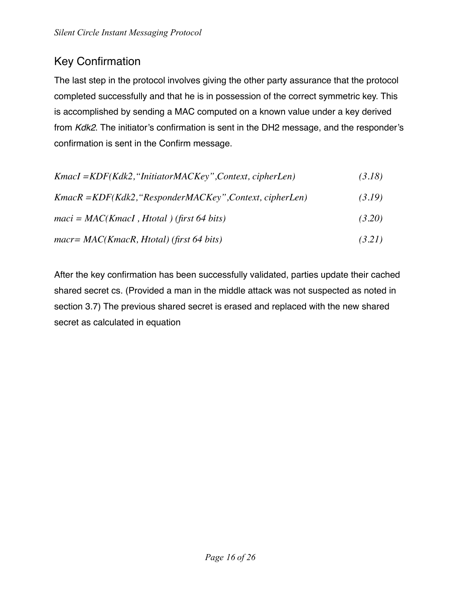# Key Confirmation

The last step in the protocol involves giving the other party assurance that the protocol completed successfully and that he is in possession of the correct symmetric key. This is accomplished by sending a MAC computed on a known value under a key derived from *Kdk2*. The initiator's confirmation is sent in the DH2 message, and the responder's confirmation is sent in the Confirm message.

| $KmacI = KDF(Kdk2, "InitiatorMACKey", Context, cipherLen)$ | (3.18) |
|------------------------------------------------------------|--------|
| $KmacR = KDF(Kdk2, "ResponderMACKey", Context, cipherLen)$ | (3.19) |
| $maci = MAC(KmacI, Htotal)$ (first 64 bits)                | (3.20) |
| $macr = MAC(KmacR, Htotal)$ (first 64 bits)                | (3.21) |

After the key confirmation has been successfully validated, parties update their cached shared secret cs. (Provided a man in the middle attack was not suspected as noted in section 3.7) The previous shared secret is erased and replaced with the new shared secret as calculated in equation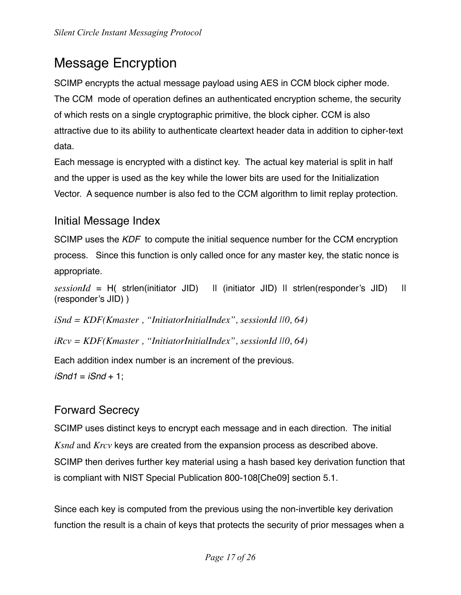# <span id="page-16-0"></span>Message Encryption

SCIMP encrypts the actual message payload using AES in CCM block cipher mode. The CCM mode of operation defines an authenticated encryption scheme, the security of which rests on a single cryptographic primitive, the block cipher. CCM is also attractive due to its ability to authenticate cleartext header data in addition to cipher-text data.

Each message is encrypted with a distinct key. The actual key material is split in half and the upper is used as the key while the lower bits are used for the Initialization Vector. A sequence number is also fed to the CCM algorithm to limit replay protection.

### Initial Message Index

SCIMP uses the *KDF* to compute the initial sequence number for the CCM encryption process. Since this function is only called once for any master key, the static nonce is appropriate.

 $sessionId = H($  strlen(initiator JID)  $\Box$  (initiator JID)  $\Box$  I strlen(responder's JID)  $\Box$ (responder's JID) )

*iSnd = KDF(Kmaster , "InitiatorInitialIndex", sessionId ||0, 64)*

*iRcv = KDF(Kmaster , "InitiatorInitialIndex", sessionId ||0, 64)*

Each addition index number is an increment of the previous.

*iSnd1* = *iSnd* + 1;

### Forward Secrecy

SCIMP uses distinct keys to encrypt each message and in each direction. The initial *Ksnd* and *Krcv* keys are created from the expansion process as described above. SCIMP then derives further key material using a hash based key derivation function that is compliant with NIST Special Publication 800-108[Che09] section 5.1.

Since each key is computed from the previous using the non-invertible key derivation function the result is a chain of keys that protects the security of prior messages when a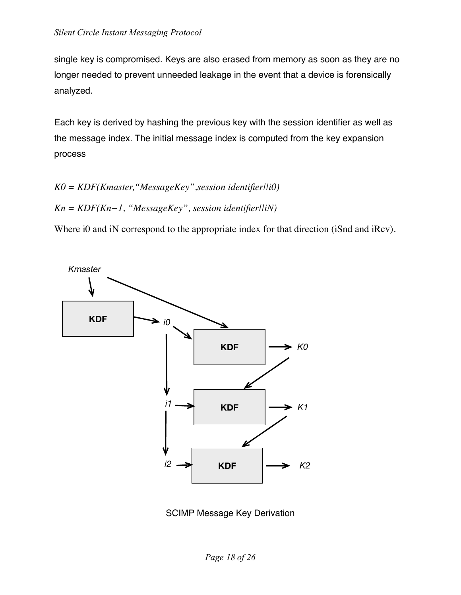single key is compromised. Keys are also erased from memory as soon as they are no longer needed to prevent unneeded leakage in the event that a device is forensically analyzed.

Each key is derived by hashing the previous key with the session identifier as well as the message index. The initial message index is computed from the key expansion process

*K0 = KDF(Kmaster,"MessageKey",session identifier||i0)* 

*Kn = KDF(Kn−1, "MessageKey", session identifier||iN)*

Where i0 and iN correspond to the appropriate index for that direction (iSnd and iRcv).



SCIMP Message Key Derivation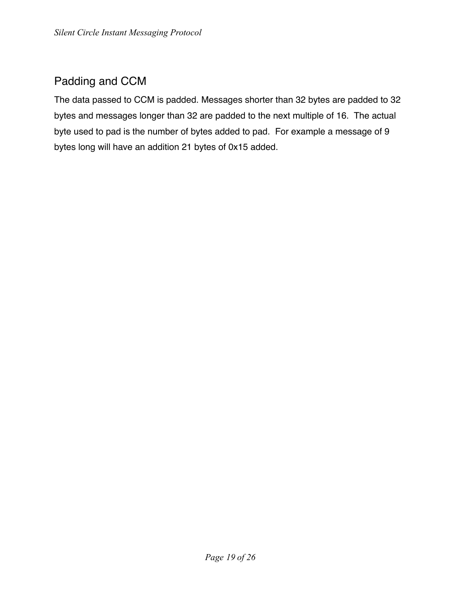# Padding and CCM

The data passed to CCM is padded. Messages shorter than 32 bytes are padded to 32 bytes and messages longer than 32 are padded to the next multiple of 16. The actual byte used to pad is the number of bytes added to pad. For example a message of 9 bytes long will have an addition 21 bytes of 0x15 added.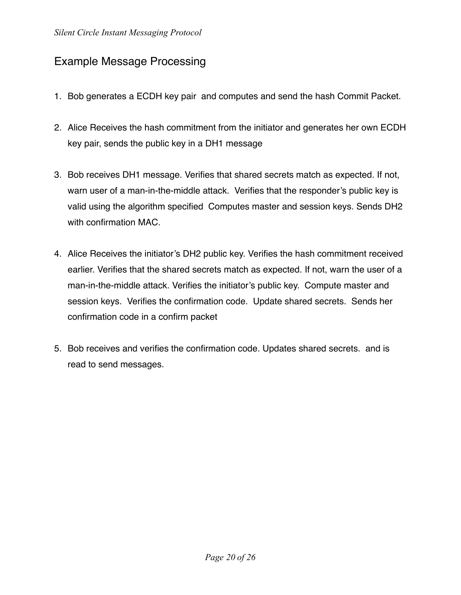## Example Message Processing

- 1. Bob generates a ECDH key pair and computes and send the hash Commit Packet.
- 2. Alice Receives the hash commitment from the initiator and generates her own ECDH key pair, sends the public key in a DH1 message
- 3. Bob receives DH1 message. Verifies that shared secrets match as expected. If not, warn user of a man-in-the-middle attack. Verifies that the responder's public key is valid using the algorithm specified Computes master and session keys. Sends DH2 with confirmation MAC.
- 4. Alice Receives the initiator's DH2 public key. Verifies the hash commitment received earlier. Verifies that the shared secrets match as expected. If not, warn the user of a man-in-the-middle attack. Verifies the initiator's public key. Compute master and session keys. Verifies the confirmation code. Update shared secrets. Sends her confirmation code in a confirm packet
- 5. Bob receives and verifies the confirmation code. Updates shared secrets. and is read to send messages.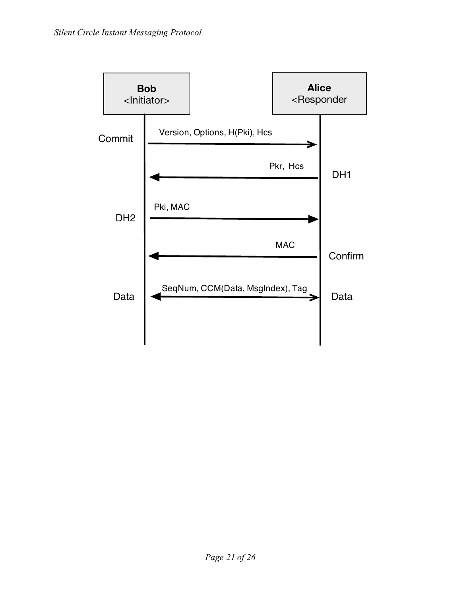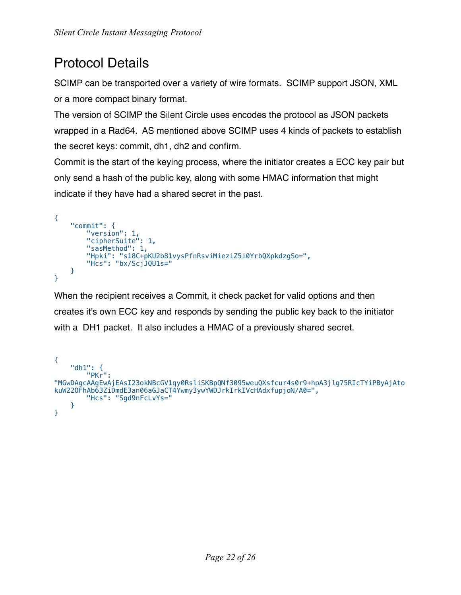# <span id="page-21-0"></span>Protocol Details

SCIMP can be transported over a variety of wire formats. SCIMP support JSON, XML or a more compact binary format.

The version of SCIMP the Silent Circle uses encodes the protocol as JSON packets wrapped in a Rad64. AS mentioned above SCIMP uses 4 kinds of packets to establish the secret keys: commit, dh1, dh2 and confirm.

Commit is the start of the keying process, where the initiator creates a ECC key pair but only send a hash of the public key, along with some HMAC information that might indicate if they have had a shared secret in the past.

```
{
     "commit": {
         "version": 1,
        "cipherSuite": 1,
         "sasMethod": 1,
         "Hpki": "s18C+pKU2b81vysPfnRsviMieziZ5i0YrbQXpkdzgSo=",
        "Hcs": "bx/ScjJQU1s="
     }
}
```
When the recipient receives a Commit, it check packet for valid options and then creates it's own ECC key and responds by sending the public key back to the initiator with a DH1 packet. It also includes a HMAC of a previously shared secret.

```
{
     "dh1": {
         "PKr": 
"MGwDAgcAAgEwAjEAsI23okNBcGV1qy0RsliSKBpQNf3095weuQXsfcur4s0r9+hpA3jlg75RIcTYiPByAjAto
kuW22OFhAb63ZiDmdE3an06aGJaCT4Ywmy3ywYWDJrkIrkIVcHAdxfupjoN/A0=",
        "Hcs": "Sgd9nFcLvYs="
     }
}
```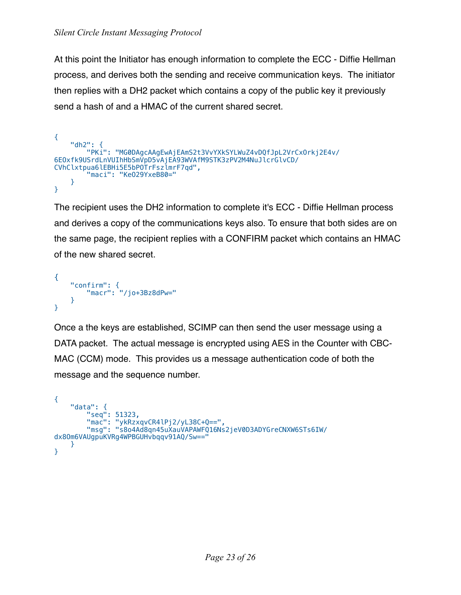At this point the Initiator has enough information to complete the ECC - Diffie Hellman process, and derives both the sending and receive communication keys. The initiator then replies with a DH2 packet which contains a copy of the public key it previously send a hash of and a HMAC of the current shared secret.

```
{
     "dh2": {
         "PKi": "MG0DAgcAAgEwAjEAmS2t3VvYXkSYLWuZ4vDQfJpL2VrCxOrkj2E4v/
6EOxfk9USrdLnVUIhHbSmVpD5vAjEA93WVAfM9STK3zPV2M4NuJlcrGlvCD/
CVhClxtpua6lEBHi5E5bPOTrFszlmrF7qd",
         "maci": "KeO29YxeB80="
     }
}
```
The recipient uses the DH2 information to complete it's ECC - Diffie Hellman process and derives a copy of the communications keys also. To ensure that both sides are on the same page, the recipient replies with a CONFIRM packet which contains an HMAC of the new shared secret.

```
{
     "confirm": {
         "macr": "/jo+3Bz8dPw="
     }
}
```
Once a the keys are established, SCIMP can then send the user message using a DATA packet. The actual message is encrypted using AES in the Counter with CBC-MAC (CCM) mode. This provides us a message authentication code of both the message and the sequence number.

```
{
    "data": {
 "seq": 51323,
 "mac": "ykRzxqvCR4lPj2/yL38C+Q==",
        "msg": "s8o4Ad8qn45uXauVAPAWFQ16Ns2jeV0D3ADYGreCNXW6STs6IW/
dx8Om6VAUgpuKVRg4WPBGUHvbqqv91AQ/Sw=="
    }
}
```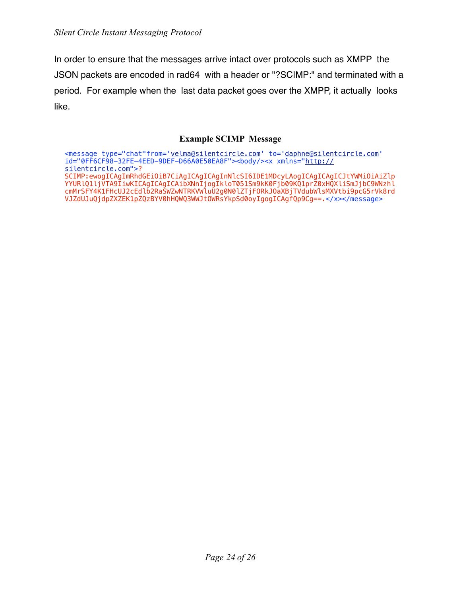In order to ensure that the messages arrive intact over protocols such as XMPP the JSON packets are encoded in rad64 with a header or "?SCIMP:" and terminated with a period. For example when the last data packet goes over the XMPP, it actually looks like.

#### **Example SCIMP Message**

<message type="chat"from='[velma@silentcircle.com](mailto:vinnie@silentcircle.com)' to='[daphne@silentcircle.com](mailto:daphne@silentcircle.com)' id="0FF6CF98-32FE-4EED-9DEF-D66A0E50EA8F"><body/><x xmlns="[http://](http://silentcircle.com) [silentcircle.com"](http://silentcircle.com)>? SCIMP:ewogICAgImRhdGEiOiB7CiAgICAgICAgInNlcSI6IDE1MDcyLAogICAgICAgICJtYWMiOiAiZlp YYURlQ1ljVTA9IiwKICAgICAgICAibXNnIjogIkloT051Sm9kK0Fjb09KQ1prZ0xHQXliSmJjbC9WNzhl cmMrSFY4K1FHcUJ2cEdlb2RaSWZwNTRKVWluU2g0N0lZTjFORkJOaXBjTVdubWlsMXVtbi9pcG5rVk8rd VJZdUJuQjdpZXZEK1pZQzBYV0hHQWQ3WWJtOWRsYkpSd0oyIgogICAgfQp9Cg==.</x></message>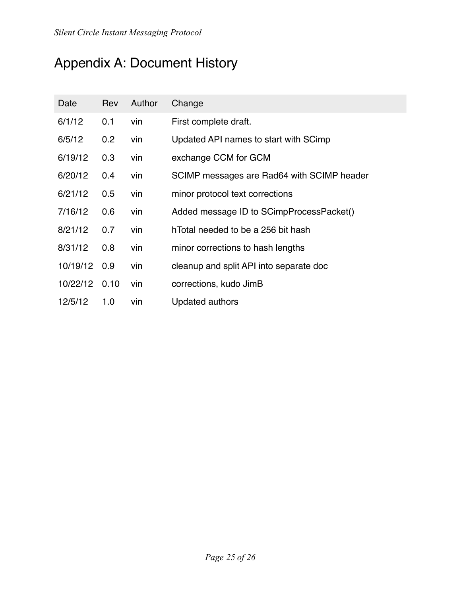# <span id="page-24-0"></span>Appendix A: Document History

| Date     | Rev  | Author | Change                                     |
|----------|------|--------|--------------------------------------------|
| 6/1/12   | 0.1  | vin    | First complete draft.                      |
| 6/5/12   | 0.2  | vin    | Updated API names to start with SCimp      |
| 6/19/12  | 0.3  | vin    | exchange CCM for GCM                       |
| 6/20/12  | 0.4  | vin    | SCIMP messages are Rad64 with SCIMP header |
| 6/21/12  | 0.5  | vin    | minor protocol text corrections            |
| 7/16/12  | 0.6  | vin    | Added message ID to SCimpProcessPacket()   |
| 8/21/12  | 0.7  | vin    | hTotal needed to be a 256 bit hash         |
| 8/31/12  | 0.8  | vin    | minor corrections to hash lengths          |
| 10/19/12 | 0.9  | vin    | cleanup and split API into separate doc    |
| 10/22/12 | 0.10 | vin    | corrections, kudo JimB                     |
| 12/5/12  | 1.0  | vin    | Updated authors                            |